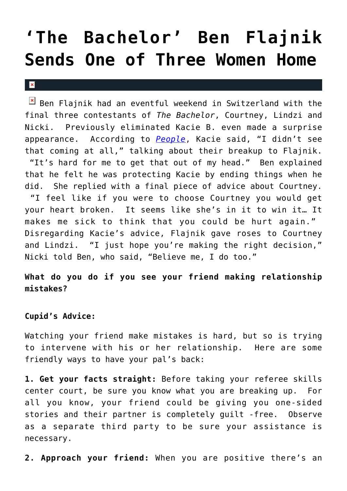## **['The Bachelor' Ben Flajnik](https://cupidspulse.com/28038/bachelor-ben-flajnik-sends-one-woman-home-nicki/) [Sends One of Three Women Home](https://cupidspulse.com/28038/bachelor-ben-flajnik-sends-one-woman-home-nicki/)**

## $\mathbf x$

 $B$  Ben Flajnik had an eventful weekend in Switzerland with the final three contestants of *The Bachelor*, Courtney, Lindzi and Nicki. Previously eliminated Kacie B. even made a surprise appearance. According to *[People](http://www.people.com/people/)*, Kacie said, "I didn't see that coming at all," talking about their breakup to Flajnik. "It's hard for me to get that out of my head." Ben explained that he felt he was protecting Kacie by ending things when he did. She replied with a final piece of advice about Courtney. "I feel like if you were to choose Courtney you would get your heart broken. It seems like she's in it to win it… It makes me sick to think that you could be hurt again." Disregarding Kacie's advice, Flajnik gave roses to Courtney and Lindzi. "I just hope you're making the right decision," Nicki told Ben, who said, "Believe me, I do too."

**What do you do if you see your friend making relationship mistakes?**

## **Cupid's Advice:**

Watching your friend make mistakes is hard, but so is trying to intervene with his or her relationship. Here are some friendly ways to have your pal's back:

**1. Get your facts straight:** Before taking your referee skills center court, be sure you know what you are breaking up. For all you know, your friend could be giving you one-sided stories and their partner is completely guilt -free. Observe as a separate third party to be sure your assistance is necessary.

**2. Approach your friend:** When you are positive there's an